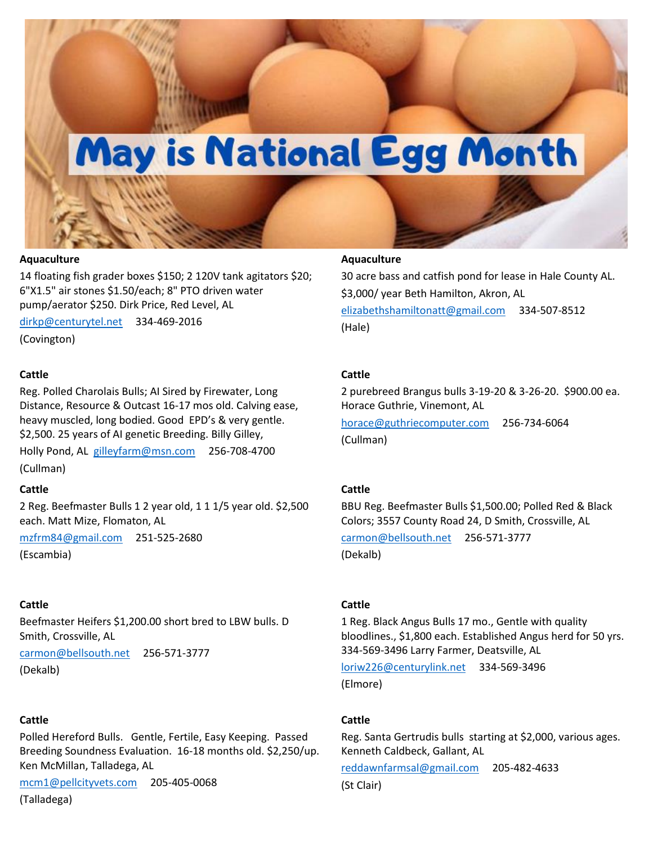# May is National Egg Month

#### **Aquaculture**

14 floating fish grader boxes \$150; 2 120V tank agitators \$20; 6"X1.5" air stones \$1.50/each; 8" PTO driven water pump/aerator \$250. Dirk Price, Red Level, AL

[dirkp@centurytel.net](mailto:dirkp@centurytel.net) 334-469-2016

(Covington)

#### **Cattle**

Reg. Polled Charolais Bulls; AI Sired by Firewater, Long Distance, Resource & Outcast 16-17 mos old. Calving ease, heavy muscled, long bodied. Good EPD's & very gentle. \$2,500. 25 years of AI genetic Breeding. Billy Gilley,

Holly Pond, AL [gilleyfarm@msn.com](mailto:gilleyfarm@msn.com) 256-708-4700 (Cullman)

#### **Cattle**

2 Reg. Beefmaster Bulls 1 2 year old, 1 1 1/5 year old. \$2,500 each. Matt Mize, Flomaton, AL

[mzfrm84@gmail.com](mailto:mzfrm84@gmail.com) 251-525-2680

(Escambia)

#### **Cattle**

Beefmaster Heifers \$1,200.00 short bred to LBW bulls. D Smith, Crossville, AL

[carmon@bellsouth.net](mailto:carmon@bellsouth.net) 256-571-3777 (Dekalb)

## **Cattle**

Polled Hereford Bulls. Gentle, Fertile, Easy Keeping. Passed Breeding Soundness Evaluation. 16-18 months old. \$2,250/up. Ken McMillan, Talladega, AL

[mcm1@pellcityvets.com](mailto:mcm1@pellcityvets.com) 205-405-0068

(Talladega)

## **Aquaculture**

30 acre bass and catfish pond for lease in Hale County AL. \$3,000/ year Beth Hamilton, Akron, AL [elizabethshamiltonatt@gmail.com](mailto:elizabethshamiltonatt@gmail.com) 334-507-8512 (Hale)

#### **Cattle**

2 purebreed Brangus bulls 3-19-20 & 3-26-20. \$900.00 ea. Horace Guthrie, Vinemont, AL

[horace@guthriecomputer.com](mailto:horace@guthriecomputer.com) 256-734-6064 (Cullman)

#### **Cattle**

BBU Reg. Beefmaster Bulls \$1,500.00; Polled Red & Black Colors; 3557 County Road 24, D Smith, Crossville, AL [carmon@bellsouth.net](mailto:carmon@bellsouth.net) 256-571-3777

(Dekalb)

#### **Cattle**

1 Reg. Black Angus Bulls 17 mo., Gentle with quality bloodlines., \$1,800 each. Established Angus herd for 50 yrs. 334-569-3496 Larry Farmer, Deatsville, AL

[loriw226@centurylink.net](mailto:loriw226@centurylink.net) 334-569-3496 (Elmore)

#### **Cattle**

Reg. Santa Gertrudis bulls starting at \$2,000, various ages. Kenneth Caldbeck, Gallant, AL

[reddawnfarmsal@gmail.com](mailto:reddawnfarmsal@gmail.com) 205-482-4633

(St Clair)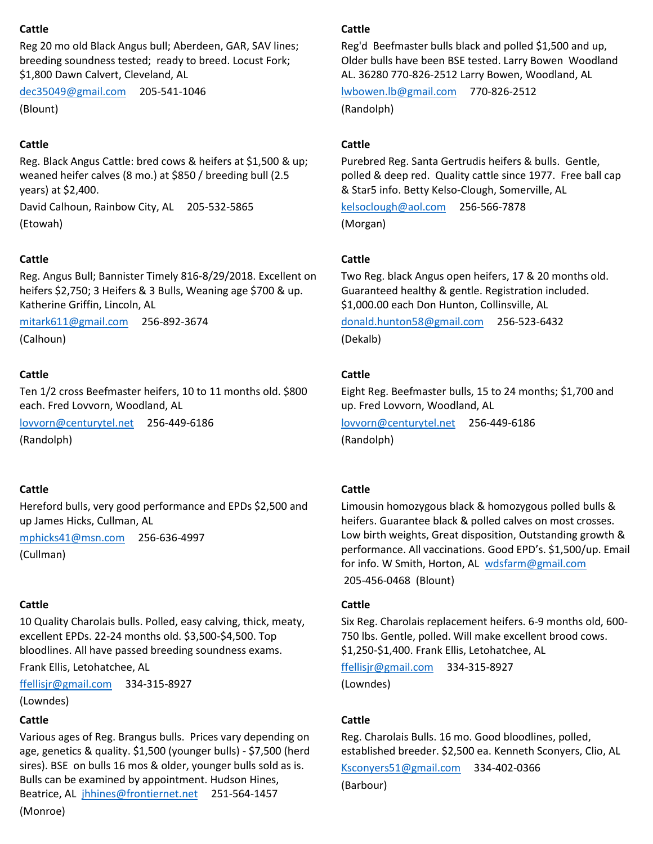## **Cattle**

Reg 20 mo old Black Angus bull; Aberdeen, GAR, SAV lines; breeding soundness tested; ready to breed. Locust Fork; \$1,800 Dawn Calvert, Cleveland, AL

[dec35049@gmail.com](mailto:dec35049@gmail.com) 205-541-1046 (Blount)

## **Cattle**

Reg. Black Angus Cattle: bred cows & heifers at \$1,500 & up; weaned heifer calves (8 mo.) at \$850 / breeding bull (2.5 years) at \$2,400.

David Calhoun, Rainbow City, AL 205-532-5865 (Etowah)

## **Cattle**

Reg. Angus Bull; Bannister Timely 816-8/29/2018. Excellent on heifers \$2,750; 3 Heifers & 3 Bulls, Weaning age \$700 & up. Katherine Griffin, Lincoln, AL

[mitark611@gmail.com](mailto:mitark611@gmail.com) 256-892-3674 (Calhoun)

## **Cattle**

Ten 1/2 cross Beefmaster heifers, 10 to 11 months old. \$800 each. Fred Lovvorn, Woodland, AL

[lovvorn@centurytel.net](mailto:lovvorn@centurytel.net) 256-449-6186 (Randolph)

## **Cattle**

Hereford bulls, very good performance and EPDs \$2,500 and up James Hicks, Cullman, AL

[mphicks41@msn.com](mailto:mphicks41@msn.com) 256-636-4997

(Cullman)

## **Cattle**

10 Quality Charolais bulls. Polled, easy calving, thick, meaty, excellent EPDs. 22-24 months old. \$3,500-\$4,500. Top bloodlines. All have passed breeding soundness exams.

Frank Ellis, Letohatchee, AL

[ffellisjr@gmail.com](mailto:ffellisjr@gmail.com) 334-315-8927

(Lowndes)

## **Cattle**

Various ages of Reg. Brangus bulls. Prices vary depending on age, genetics & quality. \$1,500 (younger bulls) - \$7,500 (herd sires). BSE on bulls 16 mos & older, younger bulls sold as is. Bulls can be examined by appointment. Hudson Hines, Beatrice, AL [jhhines@frontiernet.net](mailto:jhhines@frontiernet.net) 251-564-1457 (Monroe)

## **Cattle**

Reg'd Beefmaster bulls black and polled \$1,500 and up, Older bulls have been BSE tested. Larry Bowen Woodland AL. 36280 770-826-2512 Larry Bowen, Woodland, AL

[lwbowen.lb@gmail.com](mailto:lwbowen.lb@gmail.com) 770-826-2512 (Randolph)

## **Cattle**

Purebred Reg. Santa Gertrudis heifers & bulls. Gentle, polled & deep red. Quality cattle since 1977. Free ball cap & Star5 info. Betty Kelso-Clough, Somerville, AL

[kelsoclough@aol.com](mailto:kelsoclough@aol.com) 256-566-7878 (Morgan)

## **Cattle**

Two Reg. black Angus open heifers, 17 & 20 months old. Guaranteed healthy & gentle. Registration included. \$1,000.00 each Don Hunton, Collinsville, AL

[donald.hunton58@gmail.com](mailto:donald.hunton58@gmail.com) 256-523-6432 (Dekalb)

## **Cattle**

Eight Reg. Beefmaster bulls, 15 to 24 months; \$1,700 and up. Fred Lovvorn, Woodland, AL

[lovvorn@centurytel.net](mailto:lovvorn@centurytel.net) 256-449-6186 (Randolph)

## **Cattle**

Limousin homozygous black & homozygous polled bulls & heifers. Guarantee black & polled calves on most crosses. Low birth weights, Great disposition, Outstanding growth & performance. All vaccinations. Good EPD's. \$1,500/up. Email for info. W Smith, Horton, AL [wdsfarm@gmail.com](mailto:wdsfarm@gmail.com) 205-456-0468 (Blount)

## **Cattle**

Six Reg. Charolais replacement heifers. 6-9 months old, 600- 750 lbs. Gentle, polled. Will make excellent brood cows. \$1,250-\$1,400. Frank Ellis, Letohatchee, AL

[ffellisjr@gmail.com](mailto:ffellisjr@gmail.com) 334-315-8927

(Lowndes)

## **Cattle**

Reg. Charolais Bulls. 16 mo. Good bloodlines, polled, established breeder. \$2,500 ea. Kenneth Sconyers, Clio, AL

[Ksconyers51@gmail.com](mailto:Ksconyers51@gmail.com) 334-402-0366

(Barbour)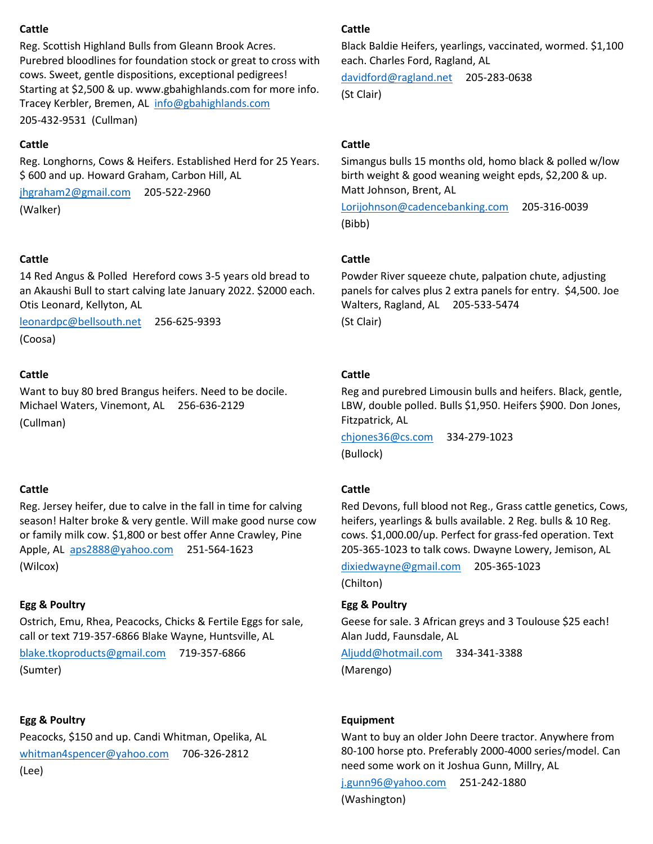## **Cattle**

Reg. Scottish Highland Bulls from Gleann Brook Acres. Purebred bloodlines for foundation stock or great to cross with cows. Sweet, gentle dispositions, exceptional pedigrees! Starting at \$2,500 & up. www.gbahighlands.com for more info. Tracey Kerbler, Bremen, AL [info@gbahighlands.com](mailto:info@gbahighlands.com) 205-432-9531 (Cullman)

## **Cattle**

Reg. Longhorns, Cows & Heifers. Established Herd for 25 Years. \$ 600 and up. Howard Graham, Carbon Hill, AL

[jhgraham2@gmail.com](mailto:jhgraham2@gmail.com) 205-522-2960 (Walker)

## **Cattle**

14 Red Angus & Polled Hereford cows 3-5 years old bread to an Akaushi Bull to start calving late January 2022. \$2000 each. Otis Leonard, Kellyton, AL

[leonardpc@bellsouth.net](mailto:leonardpc@bellsouth.net) 256-625-9393 (Coosa)

## **Cattle**

Want to buy 80 bred Brangus heifers. Need to be docile. Michael Waters, Vinemont, AL 256-636-2129 (Cullman)

## **Cattle**

Reg. Jersey heifer, due to calve in the fall in time for calving season! Halter broke & very gentle. Will make good nurse cow or family milk cow. \$1,800 or best offer Anne Crawley, Pine Apple, AL [aps2888@yahoo.com](mailto:aps2888@yahoo.com) 251-564-1623 (Wilcox)

## **Egg & Poultry**

Ostrich, Emu, Rhea, Peacocks, Chicks & Fertile Eggs for sale, call or text 719-357-6866 Blake Wayne, Huntsville, AL

[blake.tkoproducts@gmail.com](mailto:blake.tkoproducts@gmail.com) 719-357-6866 (Sumter)

# **Egg & Poultry**

Peacocks, \$150 and up. Candi Whitman, Opelika, AL [whitman4spencer@yahoo.com](mailto:whitman4spencer@yahoo.com) 706-326-2812 (Lee)

## **Cattle**

Black Baldie Heifers, yearlings, vaccinated, wormed. \$1,100 each. Charles Ford, Ragland, AL

[davidford@ragland.net](mailto:davidford@ragland.net) 205-283-0638 (St Clair)

# **Cattle**

Simangus bulls 15 months old, homo black & polled w/low birth weight & good weaning weight epds, \$2,200 & up. Matt Johnson, Brent, AL

[Lorijohnson@cadencebanking.com](mailto:Lorijohnson@cadencebanking.com) 205-316-0039 (Bibb)

## **Cattle**

Powder River squeeze chute, palpation chute, adjusting panels for calves plus 2 extra panels for entry. \$4,500. Joe Walters, Ragland, AL 205-533-5474 (St Clair)

## **Cattle**

Reg and purebred Limousin bulls and heifers. Black, gentle, LBW, double polled. Bulls \$1,950. Heifers \$900. Don Jones, Fitzpatrick, AL

[chjones36@cs.com](mailto:chjones36@cs.com) 334-279-1023 (Bullock)

# **Cattle**

Red Devons, full blood not Reg., Grass cattle genetics, Cows, heifers, yearlings & bulls available. 2 Reg. bulls & 10 Reg. cows. \$1,000.00/up. Perfect for grass-fed operation. Text 205-365-1023 to talk cows. Dwayne Lowery, Jemison, AL

[dixiedwayne@gmail.com](mailto:dixiedwayne@gmail.com) 205-365-1023 (Chilton)

# **Egg & Poultry**

Geese for sale. 3 African greys and 3 Toulouse \$25 each! Alan Judd, Faunsdale, AL

[Aljudd@hotmail.com](mailto:Aljudd@hotmail.com) 334-341-3388 (Marengo)

## **Equipment**

Want to buy an older John Deere tractor. Anywhere from 80-100 horse pto. Preferably 2000-4000 series/model. Can need some work on it Joshua Gunn, Millry, AL

[j.gunn96@yahoo.com](mailto:j.gunn96@yahoo.com) 251-242-1880 (Washington)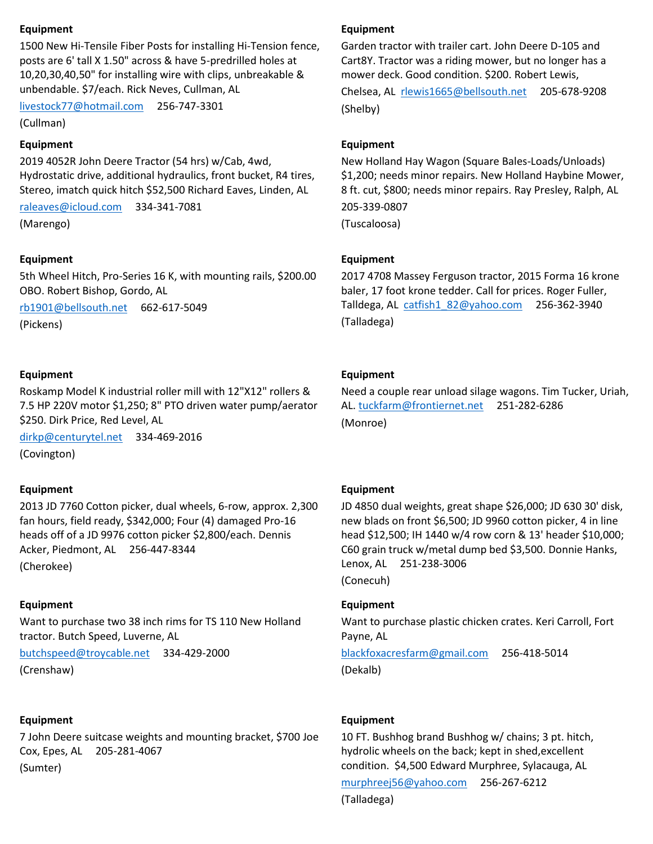## **Equipment**

1500 New Hi-Tensile Fiber Posts for installing Hi-Tension fence, posts are 6' tall X 1.50" across & have 5-predrilled holes at 10,20,30,40,50" for installing wire with clips, unbreakable & unbendable. \$7/each. Rick Neves, Cullman, AL

[livestock77@hotmail.com](mailto:livestock77@hotmail.com) 256-747-3301

(Cullman)

## **Equipment**

2019 4052R John Deere Tractor (54 hrs) w/Cab, 4wd, Hydrostatic drive, additional hydraulics, front bucket, R4 tires, Stereo, imatch quick hitch \$52,500 Richard Eaves, Linden, AL

[raleaves@icloud.com](mailto:raleaves@icloud.com) 334-341-7081

(Marengo)

## **Equipment**

5th Wheel Hitch, Pro-Series 16 K, with mounting rails, \$200.00 OBO. Robert Bishop, Gordo, AL

[rb1901@bellsouth.net](mailto:rb1901@bellsouth.net) 662-617-5049

(Pickens)

## **Equipment**

Roskamp Model K industrial roller mill with 12"X12" rollers & 7.5 HP 220V motor \$1,250; 8" PTO driven water pump/aerator \$250. Dirk Price, Red Level, AL

[dirkp@centurytel.net](mailto:dirkp@centurytel.net) 334-469-2016 (Covington)

## **Equipment**

2013 JD 7760 Cotton picker, dual wheels, 6-row, approx. 2,300 fan hours, field ready, \$342,000; Four (4) damaged Pro-16 heads off of a JD 9976 cotton picker \$2,800/each. Dennis Acker, Piedmont, AL 256-447-8344

(Cherokee)

## **Equipment**

Want to purchase two 38 inch rims for TS 110 New Holland tractor. Butch Speed, Luverne, AL

[butchspeed@troycable.net](mailto:butchspeed@troycable.net) 334-429-2000 (Crenshaw)

## **Equipment**

7 John Deere suitcase weights and mounting bracket, \$700 Joe Cox, Epes, AL 205-281-4067 (Sumter)

## **Equipment**

Garden tractor with trailer cart. John Deere D-105 and Cart8Y. Tractor was a riding mower, but no longer has a mower deck. Good condition. \$200. Robert Lewis, Chelsea, AL [rlewis1665@bellsouth.net](mailto:rlewis1665@bellsouth.net) 205-678-9208 (Shelby)

## **Equipment**

New Holland Hay Wagon (Square Bales-Loads/Unloads) \$1,200; needs minor repairs. New Holland Haybine Mower, 8 ft. cut, \$800; needs minor repairs. Ray Presley, Ralph, AL 205-339-0807 (Tuscaloosa)

## **Equipment**

2017 4708 Massey Ferguson tractor, 2015 Forma 16 krone baler, 17 foot krone tedder. Call for prices. Roger Fuller, Talldega, AL [catfish1\\_82@yahoo.com](mailto:catfish1_82@yahoo.com) 256-362-3940 (Talladega)

## **Equipment**

Need a couple rear unload silage wagons. Tim Tucker, Uriah, AL. [tuckfarm@frontiernet.net](mailto:tuckfarm@frontiernet.net) 251-282-6286 (Monroe)

## **Equipment**

JD 4850 dual weights, great shape \$26,000; JD 630 30' disk, new blads on front \$6,500; JD 9960 cotton picker, 4 in line head \$12,500; IH 1440 w/4 row corn & 13' header \$10,000; C60 grain truck w/metal dump bed \$3,500. Donnie Hanks, Lenox, AL 251-238-3006 (Conecuh)

## **Equipment**

Want to purchase plastic chicken crates. Keri Carroll, Fort Payne, AL

[blackfoxacresfarm@gmail.com](mailto:blackfoxacresfarm@gmail.com) 256-418-5014 (Dekalb)

## **Equipment**

10 FT. Bushhog brand Bushhog w/ chains; 3 pt. hitch, hydrolic wheels on the back; kept in shed,excellent condition. \$4,500 Edward Murphree, Sylacauga, AL

[murphreej56@yahoo.com](mailto:murphreej56@yahoo.com) 256-267-6212

(Talladega)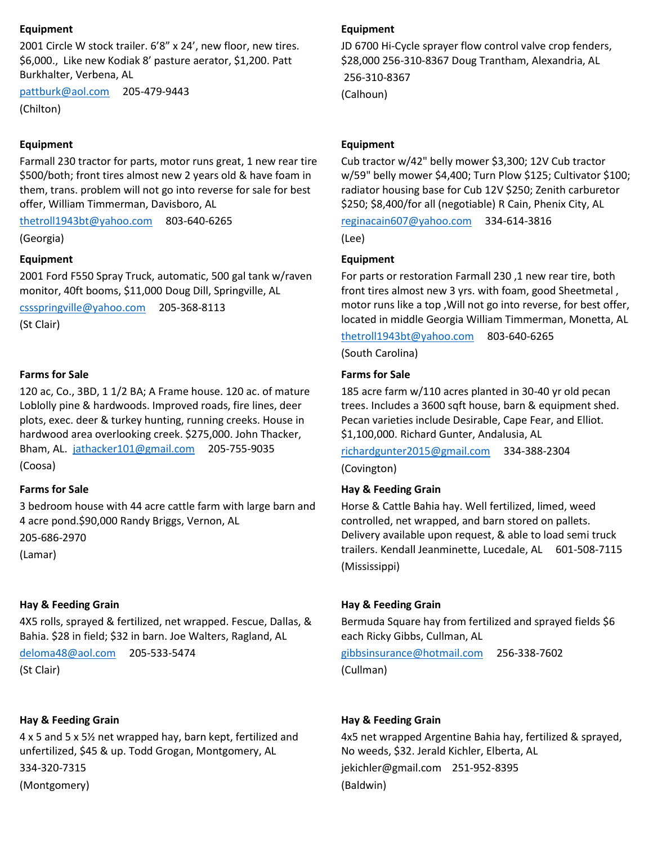#### **Equipment**

2001 Circle W stock trailer. 6'8" x 24', new floor, new tires. \$6,000., Like new Kodiak 8' pasture aerator, \$1,200. Patt Burkhalter, Verbena, AL

[pattburk@aol.com](mailto:pattburk@aol.com) 205-479-9443

(Chilton)

#### **Equipment**

Farmall 230 tractor for parts, motor runs great, 1 new rear tire \$500/both; front tires almost new 2 years old & have foam in them, trans. problem will not go into reverse for sale for best offer, William Timmerman, Davisboro, AL

[thetroll1943bt@yahoo.com](mailto:thetroll1943bt@yahoo.com) 803-640-6265

(Georgia)

#### **Equipment**

2001 Ford F550 Spray Truck, automatic, 500 gal tank w/raven monitor, 40ft booms, \$11,000 Doug Dill, Springville, AL

[cssspringville@yahoo.com](mailto:cssspringville@yahoo.com) 205-368-8113

(St Clair)

#### **Farms for Sale**

120 ac, Co., 3BD, 1 1/2 BA; A Frame house. 120 ac. of mature Loblolly pine & hardwoods. Improved roads, fire lines, deer plots, exec. deer & turkey hunting, running creeks. House in hardwood area overlooking creek. \$275,000. John Thacker, Bham, AL. [jathacker101@gmail.com](mailto:jathacker101@gmail.com) 205-755-9035 (Coosa)

## **Farms for Sale**

3 bedroom house with 44 acre cattle farm with large barn and 4 acre pond.\$90,000 Randy Briggs, Vernon, AL

205-686-2970

(Lamar)

#### **Hay & Feeding Grain**

4X5 rolls, sprayed & fertilized, net wrapped. Fescue, Dallas, & Bahia. \$28 in field; \$32 in barn. Joe Walters, Ragland, AL

[deloma48@aol.com](mailto:deloma48@aol.com) 205-533-5474

(St Clair)

#### **Hay & Feeding Grain**

4 x 5 and 5 x 5½ net wrapped hay, barn kept, fertilized and unfertilized, \$45 & up. Todd Grogan, Montgomery, AL 334-320-7315 (Montgomery)

#### **Equipment**

JD 6700 Hi-Cycle sprayer flow control valve crop fenders, \$28,000 256-310-8367 Doug Trantham, Alexandria, AL 256-310-8367 (Calhoun)

#### **Equipment**

Cub tractor w/42" belly mower \$3,300; 12V Cub tractor w/59" belly mower \$4,400; Turn Plow \$125; Cultivator \$100; radiator housing base for Cub 12V \$250; Zenith carburetor \$250; \$8,400/for all (negotiable) R Cain, Phenix City, AL

[reginacain607@yahoo.com](mailto:reginacain607@yahoo.com) 334-614-3816

(Lee)

#### **Equipment**

For parts or restoration Farmall 230 ,1 new rear tire, both front tires almost new 3 yrs. with foam, good Sheetmetal , motor runs like a top ,Will not go into reverse, for best offer, located in middle Georgia William Timmerman, Monetta, AL

[thetroll1943bt@yahoo.com](mailto:thetroll1943bt@yahoo.com) 803-640-6265

(South Carolina)

#### **Farms for Sale**

185 acre farm w/110 acres planted in 30-40 yr old pecan trees. Includes a 3600 sqft house, barn & equipment shed. Pecan varieties include Desirable, Cape Fear, and Elliot. \$1,100,000. Richard Gunter, Andalusia, AL

[richardgunter2015@gmail.com](mailto:richardgunter2015@gmail.com) 334-388-2304 (Covington)

## **Hay & Feeding Grain**

Horse & Cattle Bahia hay. Well fertilized, limed, weed controlled, net wrapped, and barn stored on pallets. Delivery available upon request, & able to load semi truck trailers. Kendall Jeanminette, Lucedale, AL 601-508-7115 (Mississippi)

#### **Hay & Feeding Grain**

Bermuda Square hay from fertilized and sprayed fields \$6 each Ricky Gibbs, Cullman, AL

[gibbsinsurance@hotmail.com](mailto:gibbsinsurance@hotmail.com) 256-338-7602 (Cullman)

#### **Hay & Feeding Grain**

4x5 net wrapped Argentine Bahia hay, fertilized & sprayed, No weeds, \$32. Jerald Kichler, Elberta, AL jekichler@gmail.com 251-952-8395 (Baldwin)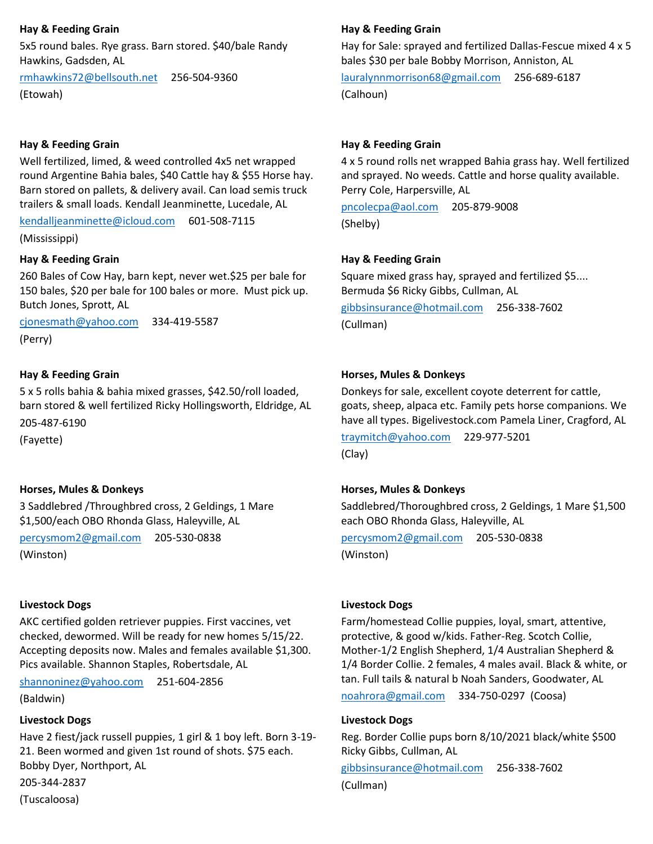## **Hay & Feeding Grain**

5x5 round bales. Rye grass. Barn stored. \$40/bale Randy Hawkins, Gadsden, AL

[rmhawkins72@bellsouth.net](mailto:rmhawkins72@bellsouth.net) 256-504-9360 (Etowah)

## **Hay & Feeding Grain**

Well fertilized, limed, & weed controlled 4x5 net wrapped round Argentine Bahia bales, \$40 Cattle hay & \$55 Horse hay. Barn stored on pallets, & delivery avail. Can load semis truck trailers & small loads. Kendall Jeanminette, Lucedale, AL

[kendalljeanminette@icloud.com](mailto:kendalljeanminette@icloud.com) 601-508-7115

(Mississippi)

## **Hay & Feeding Grain**

260 Bales of Cow Hay, barn kept, never wet.\$25 per bale for 150 bales, \$20 per bale for 100 bales or more. Must pick up. Butch Jones, Sprott, AL

[cjonesmath@yahoo.com](mailto:cjonesmath@yahoo.com) 334-419-5587 (Perry)

## **Hay & Feeding Grain**

5 x 5 rolls bahia & bahia mixed grasses, \$42.50/roll loaded, barn stored & well fertilized Ricky Hollingsworth, Eldridge, AL 205-487-6190

(Fayette)

## **Horses, Mules & Donkeys**

3 Saddlebred /Throughbred cross, 2 Geldings, 1 Mare \$1,500/each OBO Rhonda Glass, Haleyville, AL

[percysmom2@gmail.com](mailto:percysmom2@gmail.com) 205-530-0838

(Winston)

## **Livestock Dogs**

AKC certified golden retriever puppies. First vaccines, vet checked, dewormed. Will be ready for new homes 5/15/22. Accepting deposits now. Males and females available \$1,300. Pics available. Shannon Staples, Robertsdale, AL

[shannoninez@yahoo.com](mailto:shannoninez@yahoo.com) 251-604-2856

(Baldwin)

## **Livestock Dogs**

Have 2 fiest/jack russell puppies, 1 girl & 1 boy left. Born 3-19- 21. Been wormed and given 1st round of shots. \$75 each. Bobby Dyer, Northport, AL

205-344-2837

(Tuscaloosa)

## **Hay & Feeding Grain**

Hay for Sale: sprayed and fertilized Dallas-Fescue mixed 4 x 5 bales \$30 per bale Bobby Morrison, Anniston, AL

[lauralynnmorrison68@gmail.com](mailto:lauralynnmorrison68@gmail.com) 256-689-6187 (Calhoun)

## **Hay & Feeding Grain**

4 x 5 round rolls net wrapped Bahia grass hay. Well fertilized and sprayed. No weeds. Cattle and horse quality available. Perry Cole, Harpersville, AL

[pncolecpa@aol.com](mailto:pncolecpa@aol.com) 205-879-9008 (Shelby)

## **Hay & Feeding Grain**

Square mixed grass hay, sprayed and fertilized \$5.... Bermuda \$6 Ricky Gibbs, Cullman, AL

[gibbsinsurance@hotmail.com](mailto:gibbsinsurance@hotmail.com) 256-338-7602 (Cullman)

## **Horses, Mules & Donkeys**

Donkeys for sale, excellent coyote deterrent for cattle, goats, sheep, alpaca etc. Family pets horse companions. We have all types. Bigelivestock.com Pamela Liner, Cragford, AL

[traymitch@yahoo.com](mailto:traymitch@yahoo.com) 229-977-5201 (Clay)

## **Horses, Mules & Donkeys**

Saddlebred/Thoroughbred cross, 2 Geldings, 1 Mare \$1,500 each OBO Rhonda Glass, Haleyville, AL

[percysmom2@gmail.com](mailto:percysmom2@gmail.com) 205-530-0838 (Winston)

## **Livestock Dogs**

Farm/homestead Collie puppies, loyal, smart, attentive, protective, & good w/kids. Father-Reg. Scotch Collie, Mother-1/2 English Shepherd, 1/4 Australian Shepherd & 1/4 Border Collie. 2 females, 4 males avail. Black & white, or tan. Full tails & natural b Noah Sanders, Goodwater, AL

[noahrora@gmail.com](mailto:noahrora@gmail.com) 334-750-0297 (Coosa)

## **Livestock Dogs**

Reg. Border Collie pups born 8/10/2021 black/white \$500 Ricky Gibbs, Cullman, AL [gibbsinsurance@hotmail.com](mailto:gibbsinsurance@hotmail.com) 256-338-7602

(Cullman)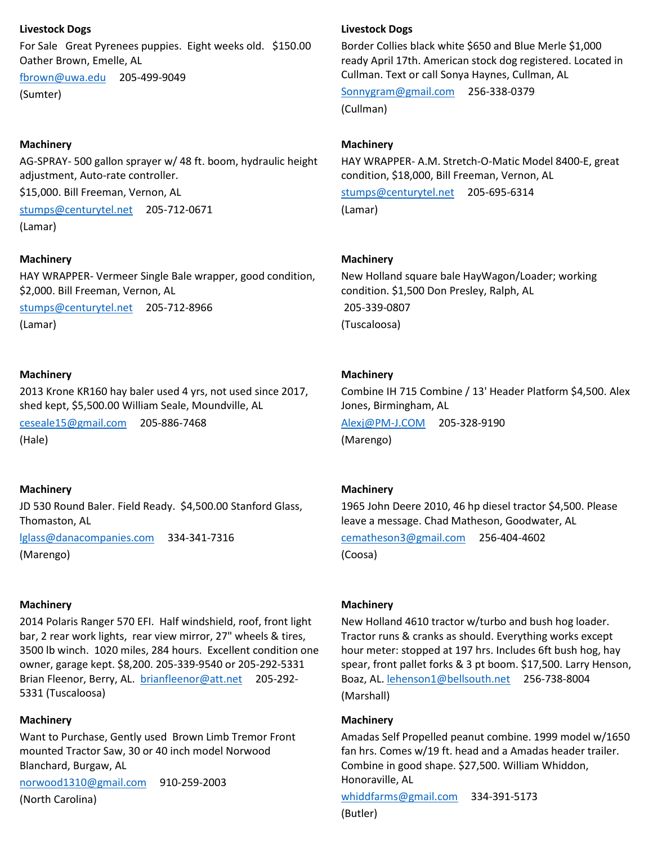## **Livestock Dogs**

For Sale Great Pyrenees puppies. Eight weeks old. \$150.00 Oather Brown, Emelle, AL

[fbrown@uwa.edu](mailto:fbrown@uwa.edu) 205-499-9049 (Sumter)

## **Machinery**

AG-SPRAY- 500 gallon sprayer w/ 48 ft. boom, hydraulic height adjustment, Auto-rate controller.

\$15,000. Bill Freeman, Vernon, AL

[stumps@centurytel.net](mailto:stumps@centurytel.net) 205-712-0671 (Lamar)

## **Machinery**

HAY WRAPPER- Vermeer Single Bale wrapper, good condition, \$2,000. Bill Freeman, Vernon, AL

[stumps@centurytel.net](mailto:stumps@centurytel.net) 205-712-8966 (Lamar)

## **Machinery**

2013 Krone KR160 hay baler used 4 yrs, not used since 2017, shed kept, \$5,500.00 William Seale, Moundville, AL

[ceseale15@gmail.com](mailto:ceseale15@gmail.com) 205-886-7468 (Hale)

## **Machinery**

JD 530 Round Baler. Field Ready. \$4,500.00 Stanford Glass, Thomaston, AL

[lglass@danacompanies.com](mailto:lglass@danacompanies.com) 334-341-7316 (Marengo)

## **Machinery**

2014 Polaris Ranger 570 EFI. Half windshield, roof, front light bar, 2 rear work lights, rear view mirror, 27" wheels & tires, 3500 lb winch. 1020 miles, 284 hours. Excellent condition one owner, garage kept. \$8,200. 205-339-9540 or 205-292-5331 Brian Fleenor, Berry, AL. [brianfleenor@att.net](mailto:brianfleenor@att.net) 205-292- 5331 (Tuscaloosa)

## **Machinery**

Want to Purchase, Gently used Brown Limb Tremor Front mounted Tractor Saw, 30 or 40 inch model Norwood Blanchard, Burgaw, AL

[norwood1310@gmail.com](mailto:norwood1310@gmail.com) 910-259-2003 (North Carolina)

## **Livestock Dogs**

Border Collies black white \$650 and Blue Merle \$1,000 ready April 17th. American stock dog registered. Located in Cullman. Text or call Sonya Haynes, Cullman, AL

[Sonnygram@gmail.com](mailto:Sonnygram@gmail.com) 256-338-0379 (Cullman)

## **Machinery**

HAY WRAPPER- A.M. Stretch-O-Matic Model 8400-E, great condition, \$18,000, Bill Freeman, Vernon, AL

[stumps@centurytel.net](mailto:stumps@centurytel.net) 205-695-6314 (Lamar)

## **Machinery**

New Holland square bale HayWagon/Loader; working condition. \$1,500 Don Presley, Ralph, AL 205-339-0807 (Tuscaloosa)

## **Machinery**

Combine IH 715 Combine / 13' Header Platform \$4,500. Alex Jones, Birmingham, AL [Alexj@PM-J.COM](mailto:Alexj@PM-J.COM) 205-328-9190 (Marengo)

## **Machinery**

1965 John Deere 2010, 46 hp diesel tractor \$4,500. Please leave a message. Chad Matheson, Goodwater, AL

[cematheson3@gmail.com](mailto:cematheson3@gmail.com) 256-404-4602 (Coosa)

## **Machinery**

New Holland 4610 tractor w/turbo and bush hog loader. Tractor runs & cranks as should. Everything works except hour meter: stopped at 197 hrs. Includes 6ft bush hog, hay spear, front pallet forks & 3 pt boom. \$17,500. Larry Henson, Boaz, AL. [lehenson1@bellsouth.net](mailto:lehenson1@bellsouth.net) 256-738-8004 (Marshall)

## **Machinery**

Amadas Self Propelled peanut combine. 1999 model w/1650 fan hrs. Comes w/19 ft. head and a Amadas header trailer. Combine in good shape. \$27,500. William Whiddon, Honoraville, AL

[whiddfarms@gmail.com](mailto:whiddfarms@gmail.com) 334-391-5173 (Butler)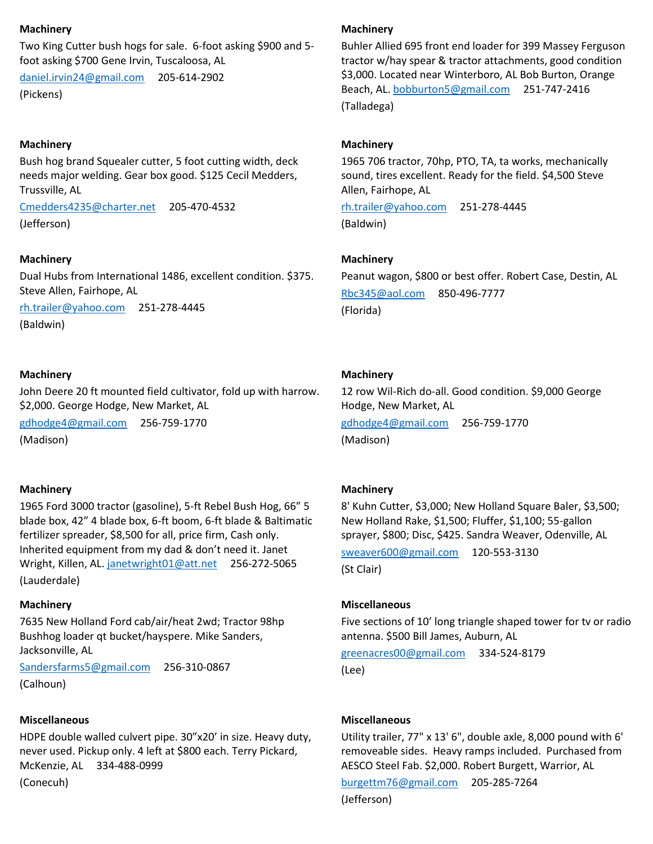#### **Machinery**

Two King Cutter bush hogs for sale. 6-foot asking \$900 and 5 foot asking \$700 Gene Irvin, Tuscaloosa, AL

[daniel.irvin24@gmail.com](mailto:daniel.irvin24@gmail.com) 205-614-2902 (Pickens)

## **Machinery**

Bush hog brand Squealer cutter, 5 foot cutting width, deck needs major welding. Gear box good. \$125 Cecil Medders, Trussville, AL

[Cmedders4235@charter.net](mailto:Cmedders4235@charter.net) 205-470-4532 (Jefferson)

#### **Machinery**

Dual Hubs from International 1486, excellent condition. \$375. Steve Allen, Fairhope, AL

[rh.trailer@yahoo.com](mailto:rh.trailer@yahoo.com) 251-278-4445 (Baldwin)

#### **Machinery**

John Deere 20 ft mounted field cultivator, fold up with harrow. \$2,000. George Hodge, New Market, AL

[gdhodge4@gmail.com](mailto:gdhodge4@gmail.com) 256-759-1770 (Madison)

#### **Machinery**

1965 Ford 3000 tractor (gasoline), 5-ft Rebel Bush Hog, 66" 5 blade box, 42" 4 blade box, 6-ft boom, 6-ft blade & Baltimatic fertilizer spreader, \$8,500 for all, price firm, Cash only. Inherited equipment from my dad & don't need it. Janet Wright, Killen, AL. [janetwright01@att.net](mailto:janetwright01@att.net) 256-272-5065 (Lauderdale)

#### **Machinery**

7635 New Holland Ford cab/air/heat 2wd; Tractor 98hp Bushhog loader qt bucket/hayspere. Mike Sanders, Jacksonville, AL

[Sandersfarms5@gmail.com](mailto:Sandersfarms5@gmail.com) 256-310-0867 (Calhoun)

#### **Miscellaneous**

HDPE double walled culvert pipe. 30"x20' in size. Heavy duty, never used. Pickup only. 4 left at \$800 each. Terry Pickard, McKenzie, AL 334-488-0999

(Conecuh)

## **Machinery**

Buhler Allied 695 front end loader for 399 Massey Ferguson tractor w/hay spear & tractor attachments, good condition \$3,000. Located near Winterboro, AL Bob Burton, Orange Beach, AL. [bobburton5@gmail.com](mailto:bobburton5@gmail.com) 251-747-2416 (Talladega)

#### **Machinery**

1965 706 tractor, 70hp, PTO, TA, ta works, mechanically sound, tires excellent. Ready for the field. \$4,500 Steve Allen, Fairhope, AL

[rh.trailer@yahoo.com](mailto:rh.trailer@yahoo.com) 251-278-4445 (Baldwin)

#### **Machinery**

Peanut wagon, \$800 or best offer. Robert Case, Destin, AL [Rbc345@aol.com](mailto:Rbc345@aol.com) 850-496-7777 (Florida)

#### **Machinery**

12 row Wil-Rich do-all. Good condition. \$9,000 George Hodge, New Market, AL [gdhodge4@gmail.com](mailto:gdhodge4@gmail.com) 256-759-1770 (Madison)

#### **Machinery**

8' Kuhn Cutter, \$3,000; New Holland Square Baler, \$3,500; New Holland Rake, \$1,500; Fluffer, \$1,100; 55-gallon sprayer, \$800; Disc, \$425. Sandra Weaver, Odenville, AL

[sweaver600@gmail.com](mailto:sweaver600@gmail.com) 120-553-3130 (St Clair)

#### **Miscellaneous**

Five sections of 10' long triangle shaped tower for tv or radio antenna. \$500 Bill James, Auburn, AL

[greenacres00@gmail.com](mailto:greenacres00@gmail.com) 334-524-8179 (Lee)

#### **Miscellaneous**

Utility trailer, 77" x 13' 6", double axle, 8,000 pound with 6' removeable sides. Heavy ramps included. Purchased from AESCO Steel Fab. \$2,000. Robert Burgett, Warrior, AL

[burgettm76@gmail.com](mailto:burgettm76@gmail.com) 205-285-7264 (Jefferson)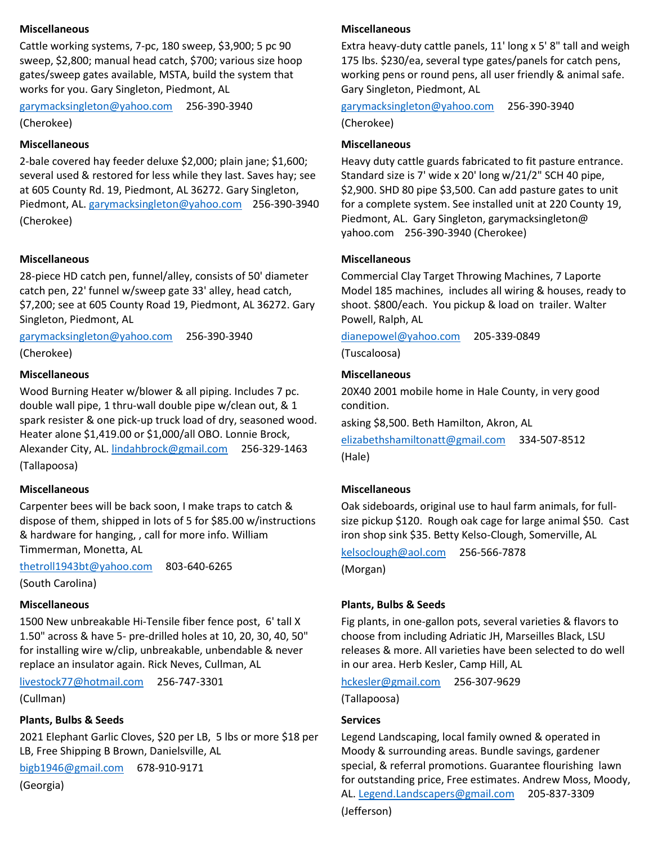## **Miscellaneous**

Cattle working systems, 7-pc, 180 sweep, \$3,900; 5 pc 90 sweep, \$2,800; manual head catch, \$700; various size hoop gates/sweep gates available, MSTA, build the system that works for you. Gary Singleton, Piedmont, AL

[garymacksingleton@yahoo.com](mailto:garymacksingleton@yahoo.com) 256-390-3940

(Cherokee)

#### **Miscellaneous**

2-bale covered hay feeder deluxe \$2,000; plain jane; \$1,600; several used & restored for less while they last. Saves hay; see at 605 County Rd. 19, Piedmont, AL 36272. Gary Singleton, Piedmont, AL. [garymacksingleton@yahoo.com](mailto:garymacksingleton@yahoo.com) 256-390-3940 (Cherokee)

#### **Miscellaneous**

28-piece HD catch pen, funnel/alley, consists of 50' diameter catch pen, 22' funnel w/sweep gate 33' alley, head catch, \$7,200; see at 605 County Road 19, Piedmont, AL 36272. Gary Singleton, Piedmont, AL

[garymacksingleton@yahoo.com](mailto:garymacksingleton@yahoo.com) 256-390-3940 (Cherokee)

#### **Miscellaneous**

Wood Burning Heater w/blower & all piping. Includes 7 pc. double wall pipe, 1 thru-wall double pipe w/clean out, & 1 spark resister & one pick-up truck load of dry, seasoned wood. Heater alone \$1,419.00 or \$1,000/all OBO. Lonnie Brock, Alexander City, AL[. lindahbrock@gmail.com](mailto:lindahbrock@gmail.com) 256-329-1463 (Tallapoosa)

#### **Miscellaneous**

Carpenter bees will be back soon, I make traps to catch & dispose of them, shipped in lots of 5 for \$85.00 w/instructions & hardware for hanging, , call for more info. William Timmerman, Monetta, AL

[thetroll1943bt@yahoo.com](mailto:thetroll1943bt@yahoo.com) 803-640-6265

(South Carolina)

#### **Miscellaneous**

1500 New unbreakable Hi-Tensile fiber fence post, 6' tall X 1.50" across & have 5- pre-drilled holes at 10, 20, 30, 40, 50" for installing wire w/clip, unbreakable, unbendable & never replace an insulator again. Rick Neves, Cullman, AL

[livestock77@hotmail.com](mailto:livestock77@hotmail.com) 256-747-3301

(Cullman)

#### **Plants, Bulbs & Seeds**

2021 Elephant Garlic Cloves, \$20 per LB, 5 lbs or more \$18 per LB, Free Shipping B Brown, Danielsville, AL

[bigb1946@gmail.com](mailto:bigb1946@gmail.com) 678-910-9171

(Georgia)

#### **Miscellaneous**

Extra heavy-duty cattle panels, 11' long x 5' 8" tall and weigh 175 lbs. \$230/ea, several type gates/panels for catch pens, working pens or round pens, all user friendly & animal safe. Gary Singleton, Piedmont, AL

#### [garymacksingleton@yahoo.com](mailto:garymacksingleton@yahoo.com) 256-390-3940

(Cherokee)

#### **Miscellaneous**

Heavy duty cattle guards fabricated to fit pasture entrance. Standard size is 7' wide x 20' long w/21/2" SCH 40 pipe, \$2,900. SHD 80 pipe \$3,500. Can add pasture gates to unit for a complete system. See installed unit at 220 County 19, Piedmont, AL. Gary Singleton, garymacksingleton@ yahoo.com 256-390-3940 (Cherokee)

#### **Miscellaneous**

Commercial Clay Target Throwing Machines, 7 Laporte Model 185 machines, includes all wiring & houses, ready to shoot. \$800/each. You pickup & load on trailer. Walter Powell, Ralph, AL

[dianepowel@yahoo.com](mailto:dianepowel@yahoo.com) 205-339-0849

(Tuscaloosa)

#### **Miscellaneous**

20X40 2001 mobile home in Hale County, in very good condition.

asking \$8,500. Beth Hamilton, Akron, AL

[elizabethshamiltonatt@gmail.com](mailto:elizabethshamiltonatt@gmail.com) 334-507-8512 (Hale)

#### **Miscellaneous**

Oak sideboards, original use to haul farm animals, for fullsize pickup \$120. Rough oak cage for large animal \$50. Cast iron shop sink \$35. Betty Kelso-Clough, Somerville, AL

[kelsoclough@aol.com](mailto:kelsoclough@aol.com) 256-566-7878 (Morgan)

#### **Plants, Bulbs & Seeds**

Fig plants, in one-gallon pots, several varieties & flavors to choose from including Adriatic JH, Marseilles Black, LSU releases & more. All varieties have been selected to do well in our area. Herb Kesler, Camp Hill, AL

[hckesler@gmail.com](mailto:hckesler@gmail.com) 256-307-9629

(Tallapoosa)

#### **Services**

Legend Landscaping, local family owned & operated in Moody & surrounding areas. Bundle savings, gardener special, & referral promotions. Guarantee flourishing lawn for outstanding price, Free estimates. Andrew Moss, Moody, AL. [Legend.Landscapers@gmail.com](mailto:Legend.Landscapers@gmail.com) 205-837-3309 (Jefferson)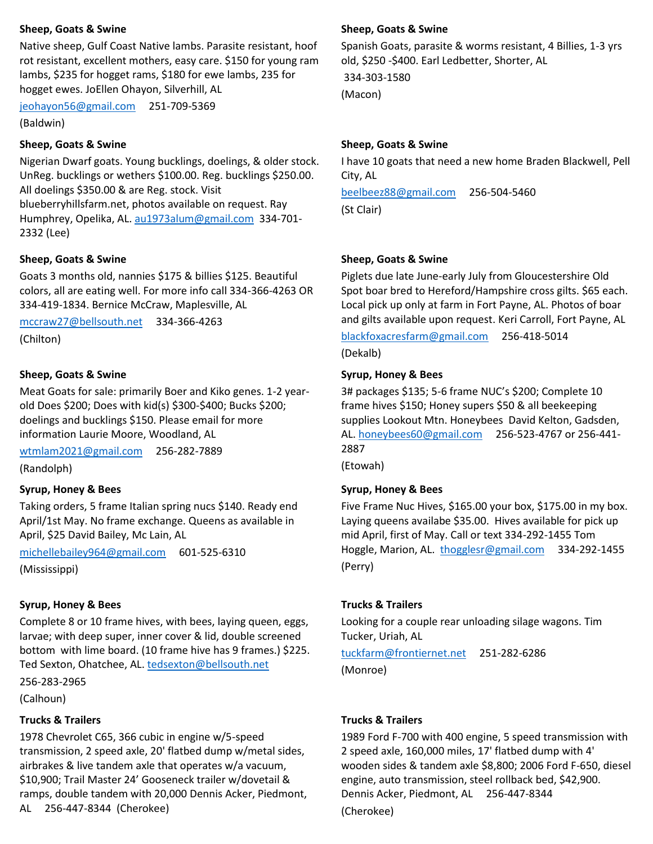#### **Sheep, Goats & Swine**

Native sheep, Gulf Coast Native lambs. Parasite resistant, hoof rot resistant, excellent mothers, easy care. \$150 for young ram lambs, \$235 for hogget rams, \$180 for ewe lambs, 235 for hogget ewes. JoEllen Ohayon, Silverhill, AL

[jeohayon56@gmail.com](mailto:jeohayon56@gmail.com) 251-709-5369

(Baldwin)

#### **Sheep, Goats & Swine**

Nigerian Dwarf goats. Young bucklings, doelings, & older stock. UnReg. bucklings or wethers \$100.00. Reg. bucklings \$250.00. All doelings \$350.00 & are Reg. stock. Visit blueberryhillsfarm.net, photos available on request. Ray Humphrey, Opelika, AL. [au1973alum@gmail.com](mailto:au1973alum@gmail.com) 334-701- 2332 (Lee)

#### **Sheep, Goats & Swine**

Goats 3 months old, nannies \$175 & billies \$125. Beautiful colors, all are eating well. For more info call 334-366-4263 OR 334-419-1834. Bernice McCraw, Maplesville, AL

[mccraw27@bellsouth.net](mailto:mccraw27@bellsouth.net) 334-366-4263 (Chilton)

# **Sheep, Goats & Swine**

Meat Goats for sale: primarily Boer and Kiko genes. 1-2 yearold Does \$200; Does with kid(s) \$300-\$400; Bucks \$200; doelings and bucklings \$150. Please email for more information Laurie Moore, Woodland, AL

[wtmlam2021@gmail.com](mailto:wtmlam2021@gmail.com) 256-282-7889 (Randolph)

## **Syrup, Honey & Bees**

Taking orders, 5 frame Italian spring nucs \$140. Ready end April/1st May. No frame exchange. Queens as available in April, \$25 David Bailey, Mc Lain, AL

[michellebailey964@gmail.com](mailto:michellebailey964@gmail.com) 601-525-6310 (Mississippi)

#### **Syrup, Honey & Bees**

Complete 8 or 10 frame hives, with bees, laying queen, eggs, larvae; with deep super, inner cover & lid, double screened bottom with lime board. (10 frame hive has 9 frames.) \$225. Ted Sexton, Ohatchee, AL. [tedsexton@bellsouth.net](mailto:tedsexton@bellsouth.net)

256-283-2965

(Calhoun)

#### **Trucks & Trailers**

1978 Chevrolet C65, 366 cubic in engine w/5-speed transmission, 2 speed axle, 20' flatbed dump w/metal sides, airbrakes & live tandem axle that operates w/a vacuum, \$10,900; Trail Master 24' Gooseneck trailer w/dovetail & ramps, double tandem with 20,000 Dennis Acker, Piedmont, AL 256-447-8344 (Cherokee)

#### **Sheep, Goats & Swine**

Spanish Goats, parasite & worms resistant, 4 Billies, 1-3 yrs old, \$250 -\$400. Earl Ledbetter, Shorter, AL

334-303-1580 (Macon)

#### **Sheep, Goats & Swine**

I have 10 goats that need a new home Braden Blackwell, Pell City, AL

[beelbeez88@gmail.com](mailto:beelbeez88@gmail.com) 256-504-5460 (St Clair)

#### **Sheep, Goats & Swine**

Piglets due late June-early July from Gloucestershire Old Spot boar bred to Hereford/Hampshire cross gilts. \$65 each. Local pick up only at farm in Fort Payne, AL. Photos of boar and gilts available upon request. Keri Carroll, Fort Payne, AL

[blackfoxacresfarm@gmail.com](mailto:blackfoxacresfarm@gmail.com) 256-418-5014 (Dekalb)

#### **Syrup, Honey & Bees**

3# packages \$135; 5-6 frame NUC's \$200; Complete 10 frame hives \$150; Honey supers \$50 & all beekeeping supplies Lookout Mtn. Honeybees David Kelton, Gadsden, AL. [honeybees60@gmail.com](mailto:honeybees60@gmail.com) 256-523-4767 or 256-441- 2887

(Etowah)

## **Syrup, Honey & Bees**

Five Frame Nuc Hives, \$165.00 your box, \$175.00 in my box. Laying queens availabe \$35.00. Hives available for pick up mid April, first of May. Call or text 334-292-1455 Tom Hoggle, Marion, AL. [thogglesr@gmail.com](mailto:thogglesr@gmail.com) 334-292-1455 (Perry)

#### **Trucks & Trailers**

Looking for a couple rear unloading silage wagons. Tim Tucker, Uriah, AL

[tuckfarm@frontiernet.net](mailto:tuckfarm@frontiernet.net) 251-282-6286 (Monroe)

#### **Trucks & Trailers**

1989 Ford F-700 with 400 engine, 5 speed transmission with 2 speed axle, 160,000 miles, 17' flatbed dump with 4' wooden sides & tandem axle \$8,800; 2006 Ford F-650, diesel engine, auto transmission, steel rollback bed, \$42,900. Dennis Acker, Piedmont, AL 256-447-8344 (Cherokee)